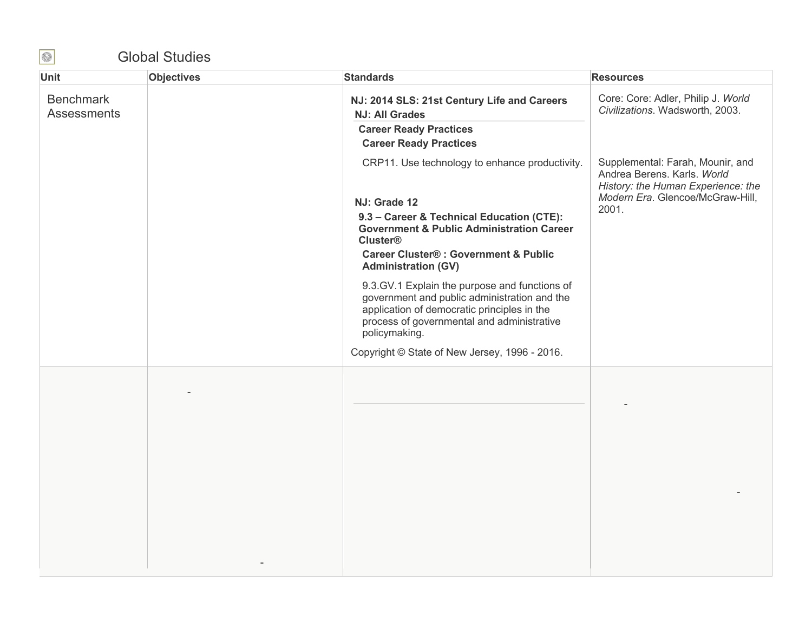## Global Studies

| Unit                                   | <b>Objectives</b> | <b>Standards</b>                                                                                                                                                                                                                                                                                                                                                                                                                                                                                                                        | <b>Resources</b>                                                                                                                                   |
|----------------------------------------|-------------------|-----------------------------------------------------------------------------------------------------------------------------------------------------------------------------------------------------------------------------------------------------------------------------------------------------------------------------------------------------------------------------------------------------------------------------------------------------------------------------------------------------------------------------------------|----------------------------------------------------------------------------------------------------------------------------------------------------|
| <b>Benchmark</b><br><b>Assessments</b> |                   | NJ: 2014 SLS: 21st Century Life and Careers<br><b>NJ: All Grades</b><br><b>Career Ready Practices</b><br><b>Career Ready Practices</b>                                                                                                                                                                                                                                                                                                                                                                                                  | Core: Core: Adler, Philip J. World<br>Civilizations. Wadsworth, 2003.                                                                              |
|                                        |                   | CRP11. Use technology to enhance productivity.<br>NJ: Grade 12<br>9.3 - Career & Technical Education (CTE):<br><b>Government &amp; Public Administration Career</b><br><b>Cluster®</b><br><b>Career Cluster®: Government &amp; Public</b><br><b>Administration (GV)</b><br>9.3.GV.1 Explain the purpose and functions of<br>government and public administration and the<br>application of democratic principles in the<br>process of governmental and administrative<br>policymaking.<br>Copyright © State of New Jersey, 1996 - 2016. | Supplemental: Farah, Mounir, and<br>Andrea Berens. Karls. World<br>History: the Human Experience: the<br>Modern Era. Glencoe/McGraw-Hill,<br>2001. |
|                                        |                   |                                                                                                                                                                                                                                                                                                                                                                                                                                                                                                                                         |                                                                                                                                                    |

 $\bigcirc$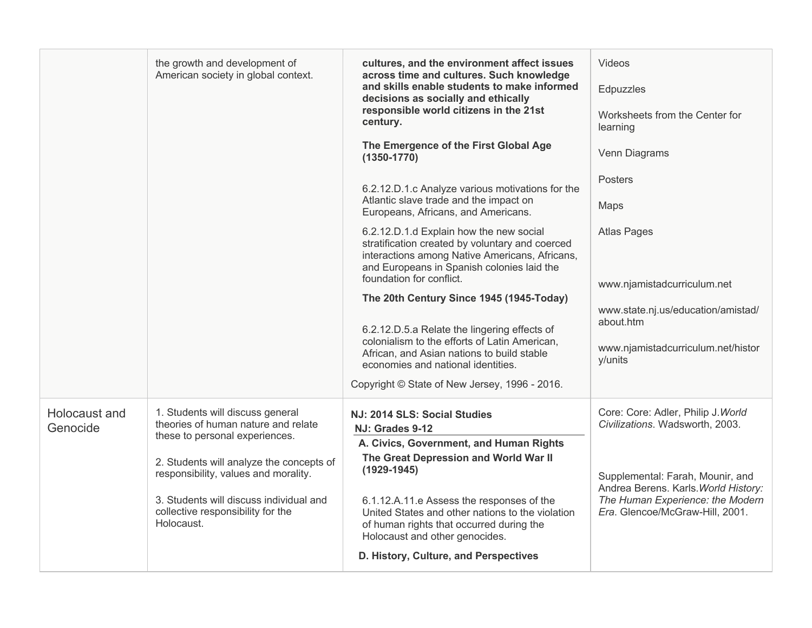|                           | the growth and development of<br>American society in global context.                                                                                                           | cultures, and the environment affect issues<br>across time and cultures. Such knowledge<br>and skills enable students to make informed<br>decisions as socially and ethically<br>responsible world citizens in the 21st<br>century.                                            | Videos<br>Edpuzzles<br>Worksheets from the Center for<br>learning                                                                               |
|---------------------------|--------------------------------------------------------------------------------------------------------------------------------------------------------------------------------|--------------------------------------------------------------------------------------------------------------------------------------------------------------------------------------------------------------------------------------------------------------------------------|-------------------------------------------------------------------------------------------------------------------------------------------------|
|                           |                                                                                                                                                                                | The Emergence of the First Global Age<br>$(1350 - 1770)$                                                                                                                                                                                                                       | Venn Diagrams                                                                                                                                   |
|                           |                                                                                                                                                                                | 6.2.12.D.1.c Analyze various motivations for the<br>Atlantic slave trade and the impact on                                                                                                                                                                                     | <b>Posters</b><br>Maps                                                                                                                          |
|                           |                                                                                                                                                                                | Europeans, Africans, and Americans.                                                                                                                                                                                                                                            |                                                                                                                                                 |
|                           |                                                                                                                                                                                | 6.2.12.D.1.d Explain how the new social<br>stratification created by voluntary and coerced<br>interactions among Native Americans, Africans,<br>and Europeans in Spanish colonies laid the<br>foundation for conflict.                                                         | <b>Atlas Pages</b>                                                                                                                              |
|                           |                                                                                                                                                                                |                                                                                                                                                                                                                                                                                | www.njamistadcurriculum.net                                                                                                                     |
|                           |                                                                                                                                                                                | The 20th Century Since 1945 (1945-Today)<br>6.2.12.D.5.a Relate the lingering effects of<br>colonialism to the efforts of Latin American,<br>African, and Asian nations to build stable<br>economies and national identities.<br>Copyright © State of New Jersey, 1996 - 2016. | www.state.nj.us/education/amistad/<br>about.htm<br>www.njamistadcurriculum.net/histor<br>y/units                                                |
| Holocaust and<br>Genocide | 1. Students will discuss general<br>theories of human nature and relate                                                                                                        | NJ: 2014 SLS: Social Studies<br>NJ: Grades 9-12                                                                                                                                                                                                                                | Core: Core: Adler, Philip J. World<br>Civilizations. Wadsworth, 2003.                                                                           |
|                           | these to personal experiences.                                                                                                                                                 | A. Civics, Government, and Human Rights                                                                                                                                                                                                                                        |                                                                                                                                                 |
|                           | 2. Students will analyze the concepts of<br>responsibility, values and morality.<br>3. Students will discuss individual and<br>collective responsibility for the<br>Holocaust. | The Great Depression and World War II<br>$(1929 - 1945)$<br>6.1.12.A.11.e Assess the responses of the<br>United States and other nations to the violation<br>of human rights that occurred during the<br>Holocaust and other genocides.                                        | Supplemental: Farah, Mounir, and<br>Andrea Berens. Karls. World History:<br>The Human Experience: the Modern<br>Era. Glencoe/McGraw-Hill, 2001. |
|                           |                                                                                                                                                                                | D. History, Culture, and Perspectives                                                                                                                                                                                                                                          |                                                                                                                                                 |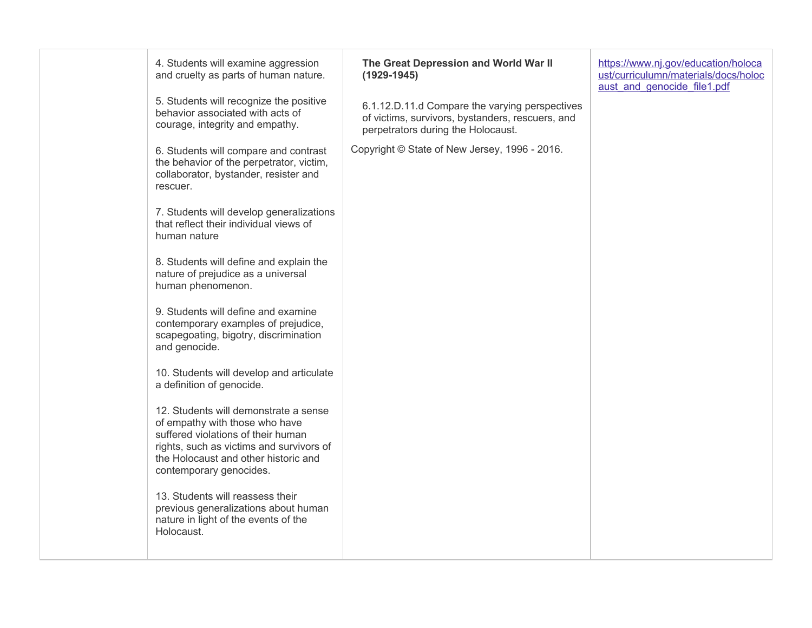| 4. Students will examine aggression<br>and cruelty as parts of human nature.<br>5. Students will recognize the positive                                                                                                      | The Great Depression and World War II<br>$(1929 - 1945)$                                                                                 | https://www.nj.gov/education/holoca<br>ust/curriculumn/materials/docs/holoc<br>aust_and_genocide_file1.pdf |
|------------------------------------------------------------------------------------------------------------------------------------------------------------------------------------------------------------------------------|------------------------------------------------------------------------------------------------------------------------------------------|------------------------------------------------------------------------------------------------------------|
| behavior associated with acts of<br>courage, integrity and empathy.                                                                                                                                                          | 6.1.12.D.11.d Compare the varying perspectives<br>of victims, survivors, bystanders, rescuers, and<br>perpetrators during the Holocaust. |                                                                                                            |
| 6. Students will compare and contrast<br>the behavior of the perpetrator, victim,<br>collaborator, bystander, resister and<br>rescuer.                                                                                       | Copyright © State of New Jersey, 1996 - 2016.                                                                                            |                                                                                                            |
| 7. Students will develop generalizations<br>that reflect their individual views of<br>human nature                                                                                                                           |                                                                                                                                          |                                                                                                            |
| 8. Students will define and explain the<br>nature of prejudice as a universal<br>human phenomenon.                                                                                                                           |                                                                                                                                          |                                                                                                            |
| 9. Students will define and examine<br>contemporary examples of prejudice,<br>scapegoating, bigotry, discrimination<br>and genocide.                                                                                         |                                                                                                                                          |                                                                                                            |
| 10. Students will develop and articulate<br>a definition of genocide.                                                                                                                                                        |                                                                                                                                          |                                                                                                            |
| 12. Students will demonstrate a sense<br>of empathy with those who have<br>suffered violations of their human<br>rights, such as victims and survivors of<br>the Holocaust and other historic and<br>contemporary genocides. |                                                                                                                                          |                                                                                                            |
| 13. Students will reassess their<br>previous generalizations about human<br>nature in light of the events of the<br>Holocaust.                                                                                               |                                                                                                                                          |                                                                                                            |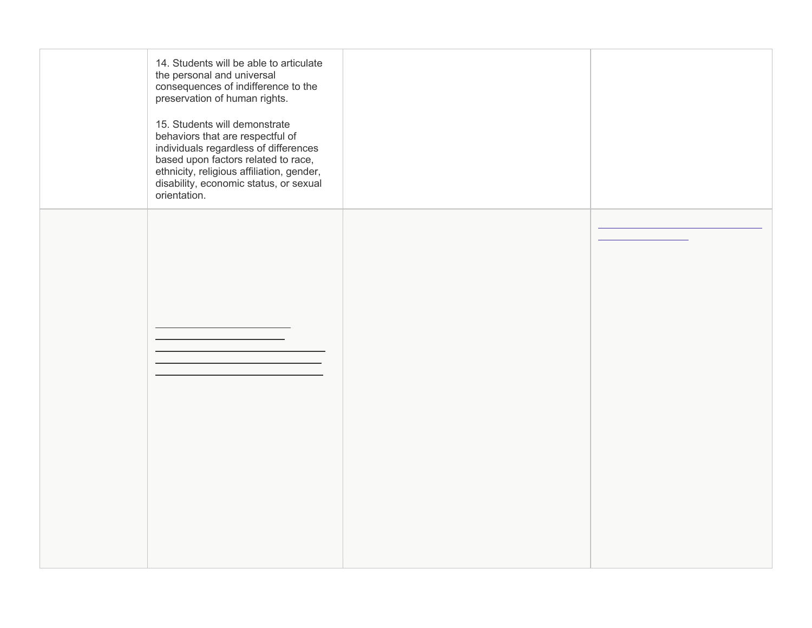| orientation. | 14. Students will be able to articulate<br>the personal and universal<br>consequences of indifference to the<br>preservation of human rights.<br>15. Students will demonstrate<br>behaviors that are respectful of<br>individuals regardless of differences<br>based upon factors related to race,<br>ethnicity, religious affiliation, gender,<br>disability, economic status, or sexual |  |
|--------------|-------------------------------------------------------------------------------------------------------------------------------------------------------------------------------------------------------------------------------------------------------------------------------------------------------------------------------------------------------------------------------------------|--|
|              |                                                                                                                                                                                                                                                                                                                                                                                           |  |
|              |                                                                                                                                                                                                                                                                                                                                                                                           |  |
|              |                                                                                                                                                                                                                                                                                                                                                                                           |  |
|              |                                                                                                                                                                                                                                                                                                                                                                                           |  |
|              |                                                                                                                                                                                                                                                                                                                                                                                           |  |
|              |                                                                                                                                                                                                                                                                                                                                                                                           |  |
|              |                                                                                                                                                                                                                                                                                                                                                                                           |  |
|              |                                                                                                                                                                                                                                                                                                                                                                                           |  |
|              |                                                                                                                                                                                                                                                                                                                                                                                           |  |
|              |                                                                                                                                                                                                                                                                                                                                                                                           |  |
|              |                                                                                                                                                                                                                                                                                                                                                                                           |  |
|              |                                                                                                                                                                                                                                                                                                                                                                                           |  |
|              |                                                                                                                                                                                                                                                                                                                                                                                           |  |
|              |                                                                                                                                                                                                                                                                                                                                                                                           |  |
|              |                                                                                                                                                                                                                                                                                                                                                                                           |  |
|              |                                                                                                                                                                                                                                                                                                                                                                                           |  |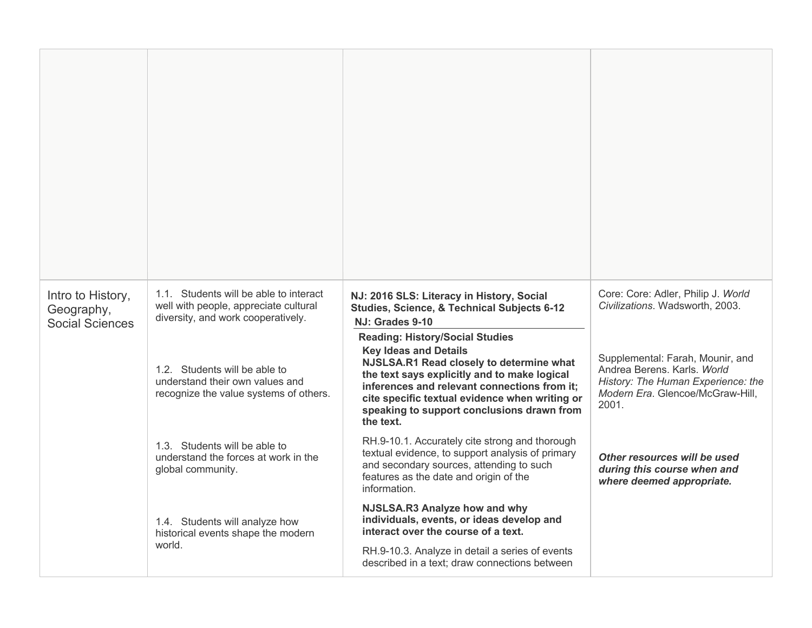| Intro to History,<br>Geography,<br><b>Social Sciences</b> | 1.1. Students will be able to interact<br>well with people, appreciate cultural<br>diversity, and work cooperatively. | NJ: 2016 SLS: Literacy in History, Social<br>Studies, Science, & Technical Subjects 6-12<br>NJ: Grades 9-10                                                                                                                                                                                                                     | Core: Core: Adler, Philip J. World<br>Civilizations. Wadsworth, 2003.                                                                              |
|-----------------------------------------------------------|-----------------------------------------------------------------------------------------------------------------------|---------------------------------------------------------------------------------------------------------------------------------------------------------------------------------------------------------------------------------------------------------------------------------------------------------------------------------|----------------------------------------------------------------------------------------------------------------------------------------------------|
|                                                           | 1.2. Students will be able to<br>understand their own values and<br>recognize the value systems of others.            | <b>Reading: History/Social Studies</b><br><b>Key Ideas and Details</b><br>NJSLSA.R1 Read closely to determine what<br>the text says explicitly and to make logical<br>inferences and relevant connections from it:<br>cite specific textual evidence when writing or<br>speaking to support conclusions drawn from<br>the text. | Supplemental: Farah, Mounir, and<br>Andrea Berens, Karls, World<br>History: The Human Experience: the<br>Modern Era. Glencoe/McGraw-Hill,<br>2001. |
|                                                           | 1.3. Students will be able to<br>understand the forces at work in the<br>global community.                            | RH.9-10.1. Accurately cite strong and thorough<br>textual evidence, to support analysis of primary<br>and secondary sources, attending to such<br>features as the date and origin of the<br>information.                                                                                                                        | Other resources will be used<br>during this course when and<br>where deemed appropriate.                                                           |
|                                                           | 1.4. Students will analyze how<br>historical events shape the modern<br>world.                                        | NJSLSA.R3 Analyze how and why<br>individuals, events, or ideas develop and<br>interact over the course of a text.<br>RH.9-10.3. Analyze in detail a series of events<br>described in a text; draw connections between                                                                                                           |                                                                                                                                                    |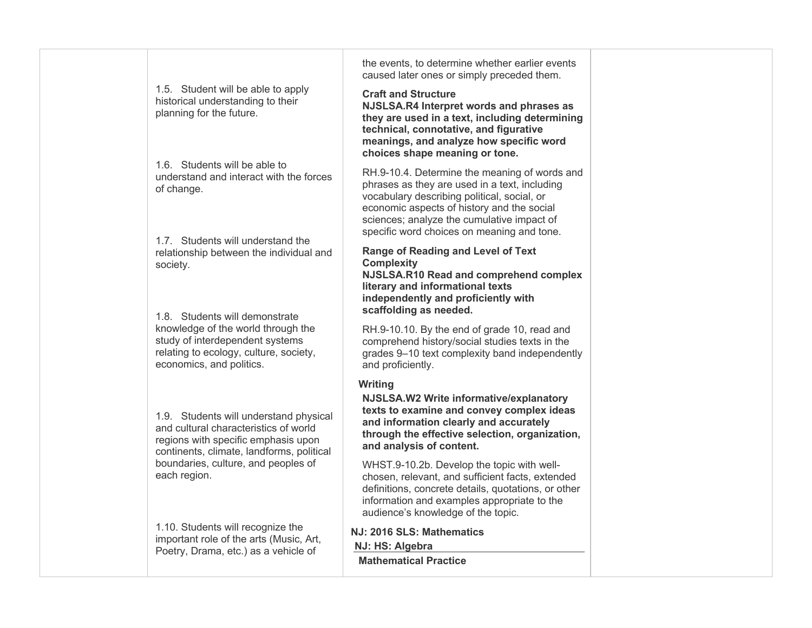|                                                     | 1.5. Student will be able to apply<br>historical understanding to their<br>planning for the future.                                                                                                                                        | the events, to determine whether earlier events<br>caused later ones or simply preceded them.<br><b>Craft and Structure</b><br>NJSLSA.R4 Interpret words and phrases as<br>they are used in a text, including determining<br>technical, connotative, and figurative<br>meanings, and analyze how specific word            |
|-----------------------------------------------------|--------------------------------------------------------------------------------------------------------------------------------------------------------------------------------------------------------------------------------------------|---------------------------------------------------------------------------------------------------------------------------------------------------------------------------------------------------------------------------------------------------------------------------------------------------------------------------|
|                                                     | 1.6. Students will be able to<br>understand and interact with the forces<br>of change.<br>1.7. Students will understand the                                                                                                                | choices shape meaning or tone.<br>RH.9-10.4. Determine the meaning of words and<br>phrases as they are used in a text, including<br>vocabulary describing political, social, or<br>economic aspects of history and the social<br>sciences; analyze the cumulative impact of<br>specific word choices on meaning and tone. |
|                                                     | relationship between the individual and<br>society.<br>1.8. Students will demonstrate                                                                                                                                                      | <b>Range of Reading and Level of Text</b><br><b>Complexity</b><br>NJSLSA.R10 Read and comprehend complex<br>literary and informational texts<br>independently and proficiently with<br>scaffolding as needed.                                                                                                             |
|                                                     | knowledge of the world through the<br>study of interdependent systems<br>relating to ecology, culture, society,<br>economics, and politics.                                                                                                | RH.9-10.10. By the end of grade 10, read and<br>comprehend history/social studies texts in the<br>grades 9-10 text complexity band independently<br>and proficiently.<br><b>Writing</b>                                                                                                                                   |
|                                                     | 1.9. Students will understand physical<br>and cultural characteristics of world<br>regions with specific emphasis upon<br>continents, climate, landforms, political                                                                        | NJSLSA.W2 Write informative/explanatory<br>texts to examine and convey complex ideas<br>and information clearly and accurately<br>through the effective selection, organization,<br>and analysis of content.                                                                                                              |
| boundaries, culture, and peoples of<br>each region. | WHST.9-10.2b. Develop the topic with well-<br>chosen, relevant, and sufficient facts, extended<br>definitions, concrete details, quotations, or other<br>information and examples appropriate to the<br>audience's knowledge of the topic. |                                                                                                                                                                                                                                                                                                                           |
|                                                     | 1.10. Students will recognize the<br>important role of the arts (Music, Art,<br>Poetry, Drama, etc.) as a vehicle of                                                                                                                       | NJ: 2016 SLS: Mathematics<br>NJ: HS: Algebra<br><b>Mathematical Practice</b>                                                                                                                                                                                                                                              |
|                                                     |                                                                                                                                                                                                                                            |                                                                                                                                                                                                                                                                                                                           |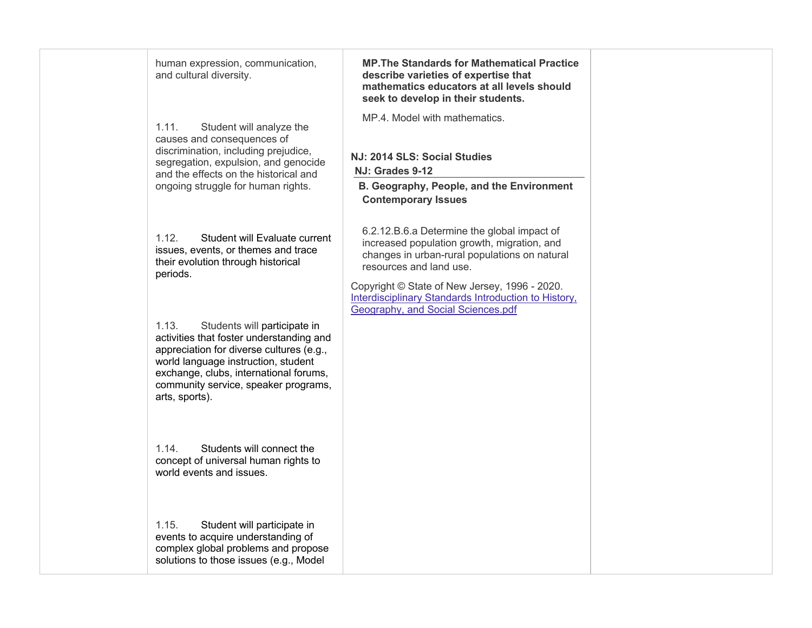| human expression, communication,<br>and cultural diversity.                                                                                                                                                                                                              | <b>MP. The Standards for Mathematical Practice</b><br>describe varieties of expertise that<br>mathematics educators at all levels should<br>seek to develop in their students.                                                                                                                                        |  |
|--------------------------------------------------------------------------------------------------------------------------------------------------------------------------------------------------------------------------------------------------------------------------|-----------------------------------------------------------------------------------------------------------------------------------------------------------------------------------------------------------------------------------------------------------------------------------------------------------------------|--|
| 1.11.<br>Student will analyze the<br>causes and consequences of<br>discrimination, including prejudice,<br>segregation, expulsion, and genocide<br>and the effects on the historical and<br>ongoing struggle for human rights.                                           | MP.4. Model with mathematics.<br>NJ: 2014 SLS: Social Studies<br>NJ: Grades 9-12<br>B. Geography, People, and the Environment<br><b>Contemporary Issues</b>                                                                                                                                                           |  |
| 1.12.<br>Student will Evaluate current<br>issues, events, or themes and trace<br>their evolution through historical<br>periods.                                                                                                                                          | 6.2.12.B.6.a Determine the global impact of<br>increased population growth, migration, and<br>changes in urban-rural populations on natural<br>resources and land use.<br>Copyright © State of New Jersey, 1996 - 2020.<br>Interdisciplinary Standards Introduction to History,<br>Geography, and Social Sciences.pdf |  |
| 1.13.<br>Students will participate in<br>activities that foster understanding and<br>appreciation for diverse cultures (e.g.,<br>world language instruction, student<br>exchange, clubs, international forums,<br>community service, speaker programs,<br>arts, sports). |                                                                                                                                                                                                                                                                                                                       |  |
| 1.14.<br>Students will connect the<br>concept of universal human rights to<br>world events and issues.                                                                                                                                                                   |                                                                                                                                                                                                                                                                                                                       |  |
| 1.15.<br>Student will participate in<br>events to acquire understanding of<br>complex global problems and propose<br>solutions to those issues (e.g., Model                                                                                                              |                                                                                                                                                                                                                                                                                                                       |  |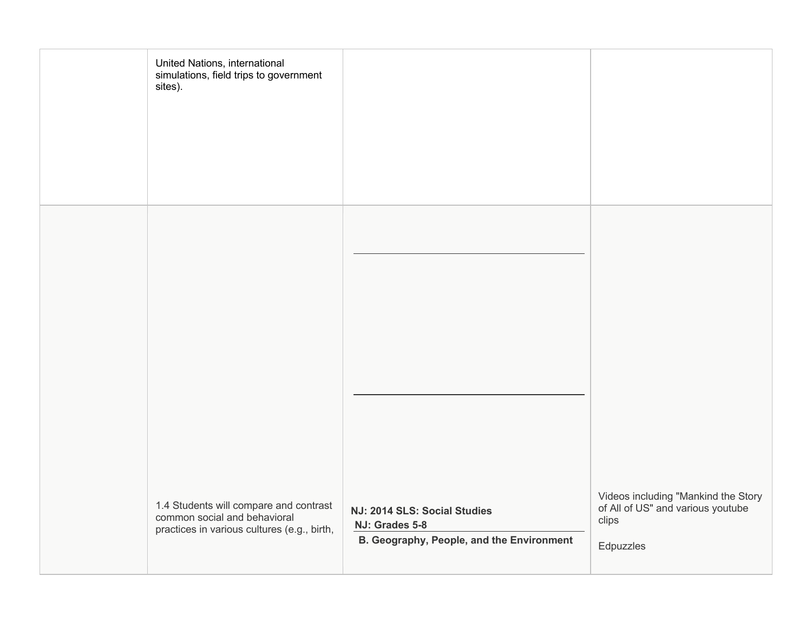| United Nations, international<br>simulations, field trips to government<br>sites).                                    |                                                                                             |                                                                                                |
|-----------------------------------------------------------------------------------------------------------------------|---------------------------------------------------------------------------------------------|------------------------------------------------------------------------------------------------|
| 1.4 Students will compare and contrast<br>common social and behavioral<br>practices in various cultures (e.g., birth, | NJ: 2014 SLS: Social Studies<br>NJ: Grades 5-8<br>B. Geography, People, and the Environment | Videos including "Mankind the Story<br>of All of US" and various youtube<br>clips<br>Edpuzzles |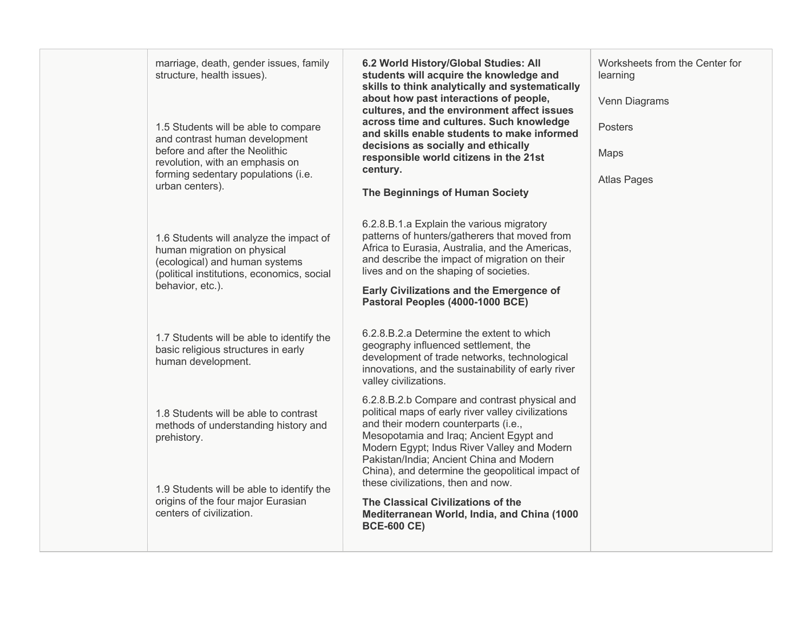| marriage, death, gender issues, family<br>structure, health issues).                                                                                   | 6.2 World History/Global Studies: All<br>students will acquire the knowledge and<br>skills to think analytically and systematically<br>about how past interactions of people,                                                                                                                                                         | Worksheets from the Center for<br>learning<br>Venn Diagrams |
|--------------------------------------------------------------------------------------------------------------------------------------------------------|---------------------------------------------------------------------------------------------------------------------------------------------------------------------------------------------------------------------------------------------------------------------------------------------------------------------------------------|-------------------------------------------------------------|
| 1.5 Students will be able to compare<br>and contrast human development                                                                                 | cultures, and the environment affect issues<br>across time and cultures. Such knowledge<br>and skills enable students to make informed<br>decisions as socially and ethically                                                                                                                                                         | <b>Posters</b>                                              |
| before and after the Neolithic<br>revolution, with an emphasis on<br>forming sedentary populations (i.e.                                               | responsible world citizens in the 21st<br>century.                                                                                                                                                                                                                                                                                    | Maps<br><b>Atlas Pages</b>                                  |
| urban centers).                                                                                                                                        | The Beginnings of Human Society                                                                                                                                                                                                                                                                                                       |                                                             |
| 1.6 Students will analyze the impact of<br>human migration on physical<br>(ecological) and human systems<br>(political institutions, economics, social | 6.2.8.B.1.a Explain the various migratory<br>patterns of hunters/gatherers that moved from<br>Africa to Eurasia, Australia, and the Americas,<br>and describe the impact of migration on their<br>lives and on the shaping of societies.                                                                                              |                                                             |
| behavior, etc.).                                                                                                                                       | <b>Early Civilizations and the Emergence of</b><br>Pastoral Peoples (4000-1000 BCE)                                                                                                                                                                                                                                                   |                                                             |
| 1.7 Students will be able to identify the<br>basic religious structures in early<br>human development.                                                 | 6.2.8.B.2.a Determine the extent to which<br>geography influenced settlement, the<br>development of trade networks, technological<br>innovations, and the sustainability of early river<br>valley civilizations.                                                                                                                      |                                                             |
| 1.8 Students will be able to contrast<br>methods of understanding history and<br>prehistory.                                                           | 6.2.8.B.2.b Compare and contrast physical and<br>political maps of early river valley civilizations<br>and their modern counterparts (i.e.,<br>Mesopotamia and Iraq; Ancient Egypt and<br>Modern Egypt; Indus River Valley and Modern<br>Pakistan/India; Ancient China and Modern<br>China), and determine the geopolitical impact of |                                                             |
| 1.9 Students will be able to identify the<br>origins of the four major Eurasian<br>centers of civilization.                                            | these civilizations, then and now.<br>The Classical Civilizations of the<br>Mediterranean World, India, and China (1000<br><b>BCE-600 CE)</b>                                                                                                                                                                                         |                                                             |
|                                                                                                                                                        |                                                                                                                                                                                                                                                                                                                                       |                                                             |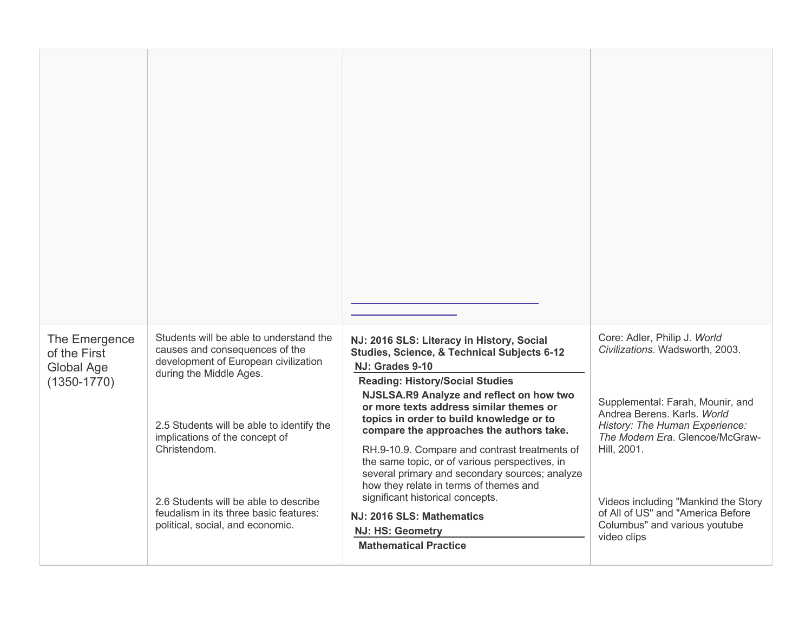| The Emergence<br>of the First<br>Global Age<br>$(1350 - 1770)$ | Students will be able to understand the<br>causes and consequences of the<br>development of European civilization<br>during the Middle Ages.<br>2.5 Students will be able to identify the<br>implications of the concept of<br>Christendom.<br>2.6 Students will be able to describe<br>feudalism in its three basic features:<br>political, social, and economic. | NJ: 2016 SLS: Literacy in History, Social<br><b>Studies, Science, &amp; Technical Subjects 6-12</b><br>NJ: Grades 9-10<br><b>Reading: History/Social Studies</b><br>NJSLSA.R9 Analyze and reflect on how two<br>or more texts address similar themes or<br>topics in order to build knowledge or to<br>compare the approaches the authors take.<br>RH.9-10.9. Compare and contrast treatments of<br>the same topic, or of various perspectives, in<br>several primary and secondary sources; analyze<br>how they relate in terms of themes and<br>significant historical concepts.<br>NJ: 2016 SLS: Mathematics<br><b>NJ: HS: Geometry</b><br><b>Mathematical Practice</b> | Core: Adler, Philip J. World<br>Civilizations. Wadsworth, 2003.<br>Supplemental: Farah, Mounir, and<br>Andrea Berens. Karls. World<br>History: The Human Experience:<br>The Modern Era. Glencoe/McGraw-<br>Hill, 2001.<br>Videos including "Mankind the Story<br>of All of US" and "America Before<br>Columbus" and various youtube<br>video clips |
|----------------------------------------------------------------|--------------------------------------------------------------------------------------------------------------------------------------------------------------------------------------------------------------------------------------------------------------------------------------------------------------------------------------------------------------------|----------------------------------------------------------------------------------------------------------------------------------------------------------------------------------------------------------------------------------------------------------------------------------------------------------------------------------------------------------------------------------------------------------------------------------------------------------------------------------------------------------------------------------------------------------------------------------------------------------------------------------------------------------------------------|----------------------------------------------------------------------------------------------------------------------------------------------------------------------------------------------------------------------------------------------------------------------------------------------------------------------------------------------------|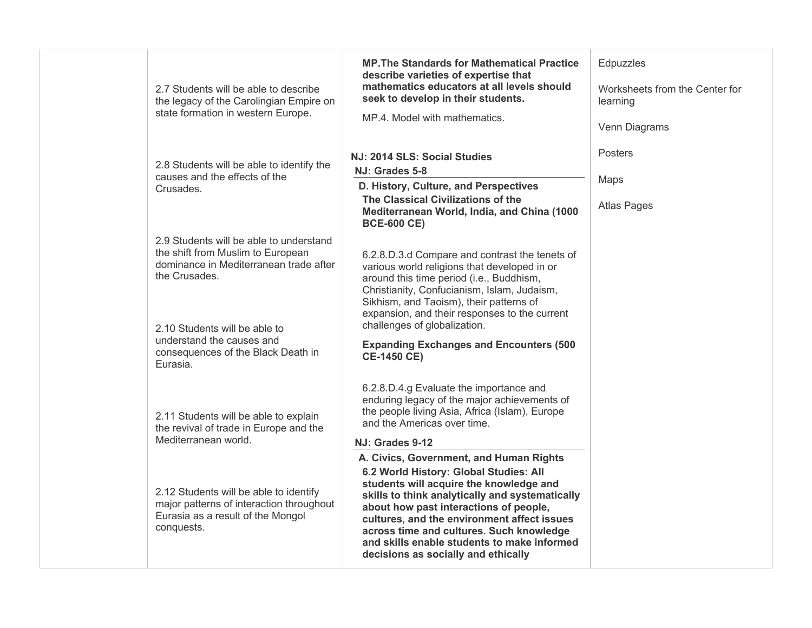| 2.7 Students will be able to describe<br>the legacy of the Carolingian Empire on<br>state formation in western Europe.                                                                                                                                  | <b>MP. The Standards for Mathematical Practice</b><br>describe varieties of expertise that<br>mathematics educators at all levels should<br>seek to develop in their students.<br>MP.4. Model with mathematics.                                                                                                                                                                                                                                                                                                                                                                                           | Edpuzzles<br>Worksheets from the Center for<br>learning<br>Venn Diagrams |
|---------------------------------------------------------------------------------------------------------------------------------------------------------------------------------------------------------------------------------------------------------|-----------------------------------------------------------------------------------------------------------------------------------------------------------------------------------------------------------------------------------------------------------------------------------------------------------------------------------------------------------------------------------------------------------------------------------------------------------------------------------------------------------------------------------------------------------------------------------------------------------|--------------------------------------------------------------------------|
| 2.8 Students will be able to identify the<br>causes and the effects of the<br>Crusades.                                                                                                                                                                 | NJ: 2014 SLS: Social Studies<br>NJ: Grades 5-8<br>D. History, Culture, and Perspectives<br>The Classical Civilizations of the<br>Mediterranean World, India, and China (1000<br><b>BCE-600 CE)</b>                                                                                                                                                                                                                                                                                                                                                                                                        | Posters<br>Maps<br><b>Atlas Pages</b>                                    |
| 2.9 Students will be able to understand<br>the shift from Muslim to European<br>dominance in Mediterranean trade after<br>the Crusades.<br>2.10 Students will be able to<br>understand the causes and<br>consequences of the Black Death in<br>Eurasia. | 6.2.8.D.3.d Compare and contrast the tenets of<br>various world religions that developed in or<br>around this time period (i.e., Buddhism,<br>Christianity, Confucianism, Islam, Judaism,<br>Sikhism, and Taoism), their patterns of<br>expansion, and their responses to the current<br>challenges of globalization.<br><b>Expanding Exchanges and Encounters (500</b><br><b>CE-1450 CE)</b>                                                                                                                                                                                                             |                                                                          |
| 2.11 Students will be able to explain<br>the revival of trade in Europe and the<br>Mediterranean world.<br>2.12 Students will be able to identify<br>major patterns of interaction throughout<br>Eurasia as a result of the Mongol<br>conquests.        | 6.2.8.D.4.g Evaluate the importance and<br>enduring legacy of the major achievements of<br>the people living Asia, Africa (Islam), Europe<br>and the Americas over time.<br>NJ: Grades 9-12<br>A. Civics, Government, and Human Rights<br>6.2 World History: Global Studies: All<br>students will acquire the knowledge and<br>skills to think analytically and systematically<br>about how past interactions of people,<br>cultures, and the environment affect issues<br>across time and cultures. Such knowledge<br>and skills enable students to make informed<br>decisions as socially and ethically |                                                                          |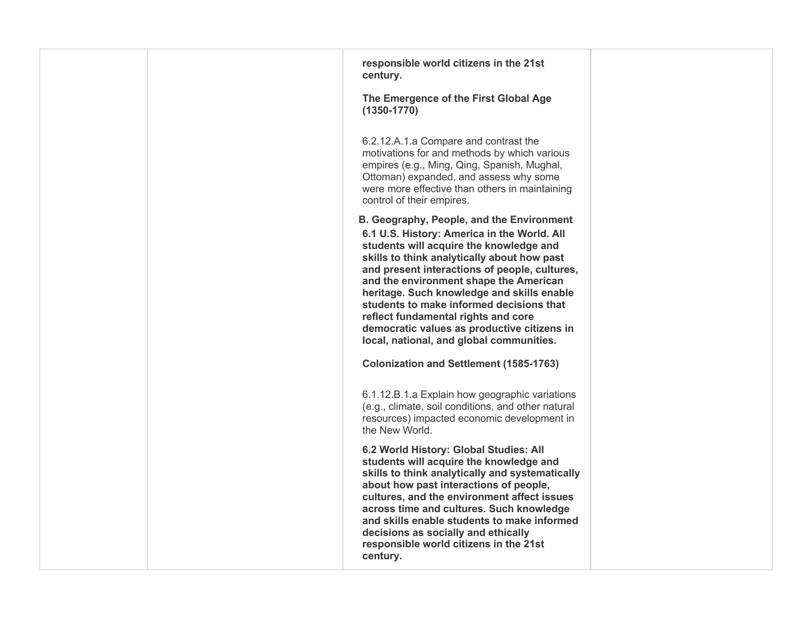| responsible world citizens in the 21st<br>century.                                                                                                                                                                                                                                                                                                                                                                                                                                                        |
|-----------------------------------------------------------------------------------------------------------------------------------------------------------------------------------------------------------------------------------------------------------------------------------------------------------------------------------------------------------------------------------------------------------------------------------------------------------------------------------------------------------|
| The Emergence of the First Global Age<br>$(1350 - 1770)$                                                                                                                                                                                                                                                                                                                                                                                                                                                  |
| 6.2.12.A.1.a Compare and contrast the<br>motivations for and methods by which various<br>empires (e.g., Ming, Qing, Spanish, Mughal,<br>Ottoman) expanded, and assess why some<br>were more effective than others in maintaining<br>control of their empires.                                                                                                                                                                                                                                             |
| B. Geography, People, and the Environment<br>6.1 U.S. History: America in the World. All<br>students will acquire the knowledge and<br>skills to think analytically about how past<br>and present interactions of people, cultures,<br>and the environment shape the American<br>heritage. Such knowledge and skills enable<br>students to make informed decisions that<br>reflect fundamental rights and core<br>democratic values as productive citizens in<br>local, national, and global communities. |
| <b>Colonization and Settlement (1585-1763)</b>                                                                                                                                                                                                                                                                                                                                                                                                                                                            |
| 6.1.12.B.1.a Explain how geographic variations<br>(e.g., climate, soil conditions, and other natural<br>resources) impacted economic development in<br>the New World.                                                                                                                                                                                                                                                                                                                                     |
| 6.2 World History: Global Studies: All<br>students will acquire the knowledge and<br>skills to think analytically and systematically<br>about how past interactions of people,<br>cultures, and the environment affect issues<br>across time and cultures. Such knowledge<br>and skills enable students to make informed<br>decisions as socially and ethically<br>responsible world citizens in the 21st<br>century.                                                                                     |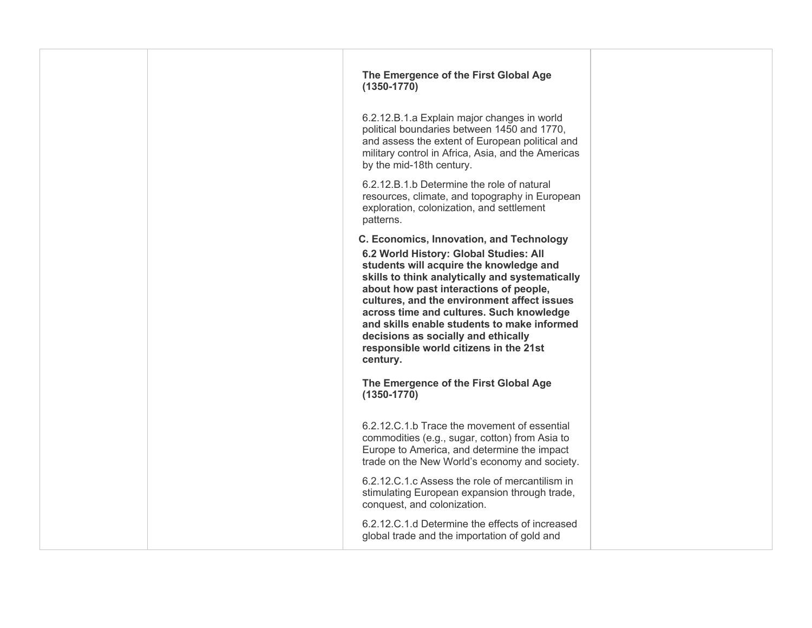| The Emergence of the First Global Age<br>$(1350 - 1770)$                                                                                                                                                                                                                                                                                                                                                                                                          |  |
|-------------------------------------------------------------------------------------------------------------------------------------------------------------------------------------------------------------------------------------------------------------------------------------------------------------------------------------------------------------------------------------------------------------------------------------------------------------------|--|
| 6.2.12.B.1.a Explain major changes in world<br>political boundaries between 1450 and 1770,<br>and assess the extent of European political and<br>military control in Africa, Asia, and the Americas<br>by the mid-18th century.                                                                                                                                                                                                                                   |  |
| 6.2.12.B.1.b Determine the role of natural<br>resources, climate, and topography in European<br>exploration, colonization, and settlement<br>patterns.                                                                                                                                                                                                                                                                                                            |  |
| C. Economics, Innovation, and Technology<br>6.2 World History: Global Studies: All<br>students will acquire the knowledge and<br>skills to think analytically and systematically<br>about how past interactions of people,<br>cultures, and the environment affect issues<br>across time and cultures. Such knowledge<br>and skills enable students to make informed<br>decisions as socially and ethically<br>responsible world citizens in the 21st<br>century. |  |
| The Emergence of the First Global Age<br>$(1350 - 1770)$                                                                                                                                                                                                                                                                                                                                                                                                          |  |
| 6.2.12.C.1.b Trace the movement of essential<br>commodities (e.g., sugar, cotton) from Asia to<br>Europe to America, and determine the impact<br>trade on the New World's economy and society.                                                                                                                                                                                                                                                                    |  |
| 6.2.12.C.1.c Assess the role of mercantilism in<br>stimulating European expansion through trade,<br>conquest, and colonization.                                                                                                                                                                                                                                                                                                                                   |  |
| 6.2.12.C.1.d Determine the effects of increased<br>global trade and the importation of gold and                                                                                                                                                                                                                                                                                                                                                                   |  |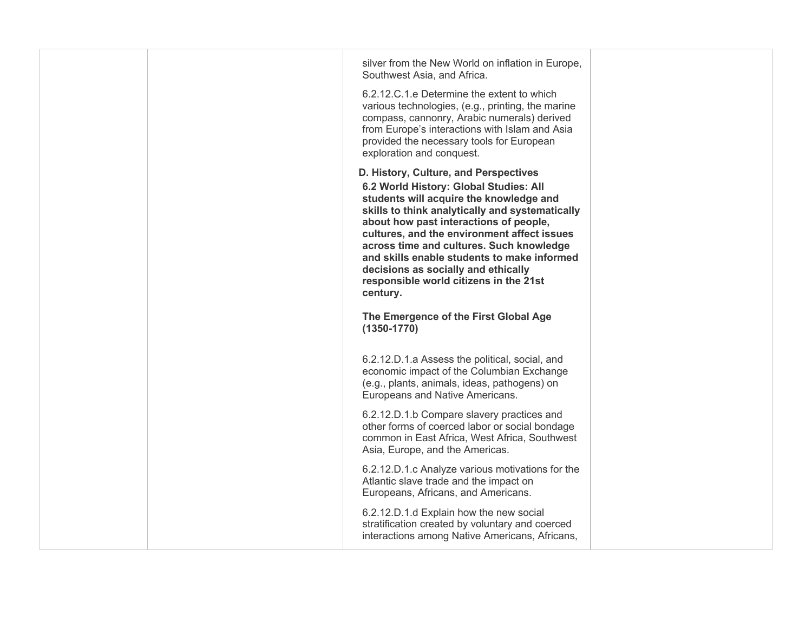| silver from the New World on inflation in Europe,<br>Southwest Asia, and Africa.<br>6.2.12.C.1.e Determine the extent to which<br>various technologies, (e.g., printing, the marine<br>compass, cannonry, Arabic numerals) derived<br>from Europe's interactions with Islam and Asia<br>provided the necessary tools for European<br>exploration and conquest.                                                                                                 |  |
|----------------------------------------------------------------------------------------------------------------------------------------------------------------------------------------------------------------------------------------------------------------------------------------------------------------------------------------------------------------------------------------------------------------------------------------------------------------|--|
| D. History, Culture, and Perspectives<br>6.2 World History: Global Studies: All<br>students will acquire the knowledge and<br>skills to think analytically and systematically<br>about how past interactions of people,<br>cultures, and the environment affect issues<br>across time and cultures. Such knowledge<br>and skills enable students to make informed<br>decisions as socially and ethically<br>responsible world citizens in the 21st<br>century. |  |
| The Emergence of the First Global Age<br>$(1350 - 1770)$<br>6.2.12.D.1.a Assess the political, social, and<br>economic impact of the Columbian Exchange                                                                                                                                                                                                                                                                                                        |  |
| (e.g., plants, animals, ideas, pathogens) on<br>Europeans and Native Americans.<br>6.2.12.D.1.b Compare slavery practices and<br>other forms of coerced labor or social bondage<br>common in East Africa, West Africa, Southwest<br>Asia, Europe, and the Americas.                                                                                                                                                                                            |  |
| 6.2.12.D.1.c Analyze various motivations for the<br>Atlantic slave trade and the impact on<br>Europeans, Africans, and Americans.                                                                                                                                                                                                                                                                                                                              |  |
| 6.2.12.D.1.d Explain how the new social<br>stratification created by voluntary and coerced<br>interactions among Native Americans, Africans,                                                                                                                                                                                                                                                                                                                   |  |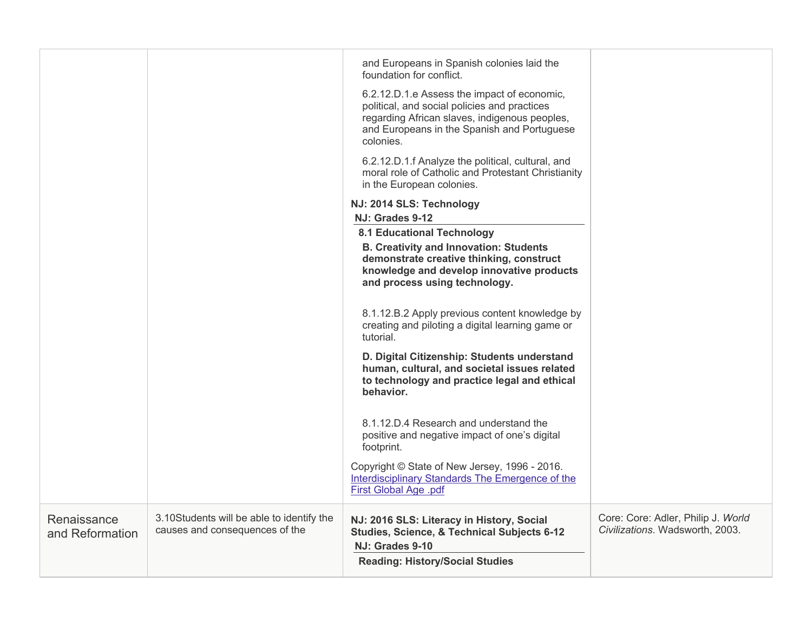|                                |                                                                             | and Europeans in Spanish colonies laid the<br>foundation for conflict.<br>6.2.12.D.1.e Assess the impact of economic,<br>political, and social policies and practices<br>regarding African slaves, indigenous peoples,<br>and Europeans in the Spanish and Portuguese<br>colonies.<br>6.2.12.D.1.f Analyze the political, cultural, and<br>moral role of Catholic and Protestant Christianity<br>in the European colonies.<br>NJ: 2014 SLS: Technology<br>NJ: Grades 9-12<br><b>8.1 Educational Technology</b><br><b>B. Creativity and Innovation: Students</b><br>demonstrate creative thinking, construct<br>knowledge and develop innovative products<br>and process using technology.<br>8.1.12.B.2 Apply previous content knowledge by<br>creating and piloting a digital learning game or<br>tutorial. |                                                                       |
|--------------------------------|-----------------------------------------------------------------------------|--------------------------------------------------------------------------------------------------------------------------------------------------------------------------------------------------------------------------------------------------------------------------------------------------------------------------------------------------------------------------------------------------------------------------------------------------------------------------------------------------------------------------------------------------------------------------------------------------------------------------------------------------------------------------------------------------------------------------------------------------------------------------------------------------------------|-----------------------------------------------------------------------|
|                                |                                                                             | D. Digital Citizenship: Students understand<br>human, cultural, and societal issues related<br>to technology and practice legal and ethical<br>behavior.                                                                                                                                                                                                                                                                                                                                                                                                                                                                                                                                                                                                                                                     |                                                                       |
|                                |                                                                             | 8.1.12.D.4 Research and understand the<br>positive and negative impact of one's digital<br>footprint.                                                                                                                                                                                                                                                                                                                                                                                                                                                                                                                                                                                                                                                                                                        |                                                                       |
|                                |                                                                             | Copyright © State of New Jersey, 1996 - 2016.<br><b>Interdisciplinary Standards The Emergence of the</b><br>First Global Age .pdf                                                                                                                                                                                                                                                                                                                                                                                                                                                                                                                                                                                                                                                                            |                                                                       |
| Renaissance<br>and Reformation | 3.10Students will be able to identify the<br>causes and consequences of the | NJ: 2016 SLS: Literacy in History, Social<br><b>Studies, Science, &amp; Technical Subjects 6-12</b><br>NJ: Grades 9-10<br><b>Reading: History/Social Studies</b>                                                                                                                                                                                                                                                                                                                                                                                                                                                                                                                                                                                                                                             | Core: Core: Adler, Philip J. World<br>Civilizations. Wadsworth, 2003. |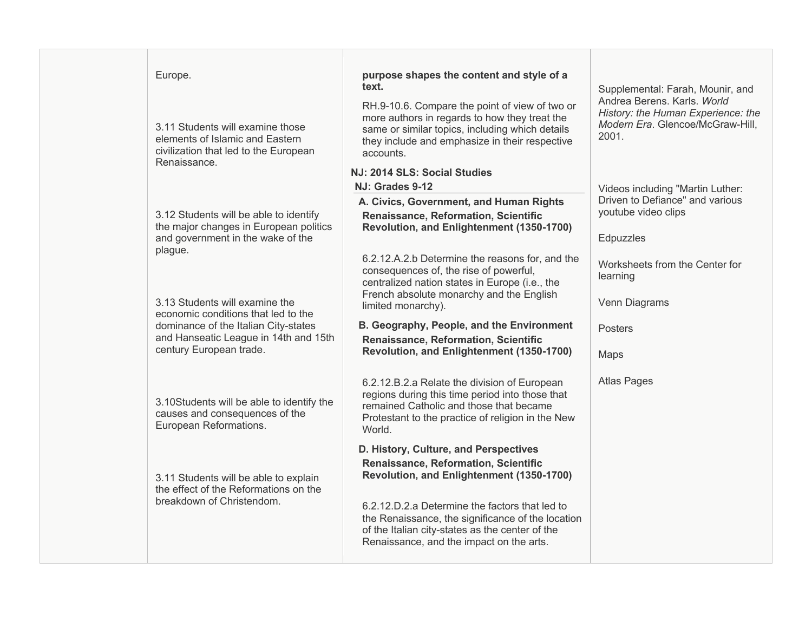| Europe.                                                                                                                      | purpose shapes the content and style of a<br>text.                                                                                                                                                                | Supplemental: Farah, Mounir, and                                                                               |
|------------------------------------------------------------------------------------------------------------------------------|-------------------------------------------------------------------------------------------------------------------------------------------------------------------------------------------------------------------|----------------------------------------------------------------------------------------------------------------|
| 3.11 Students will examine those<br>elements of Islamic and Eastern<br>civilization that led to the European<br>Renaissance. | RH.9-10.6. Compare the point of view of two or<br>more authors in regards to how they treat the<br>same or similar topics, including which details<br>they include and emphasize in their respective<br>accounts. | Andrea Berens, Karls, World<br>History: the Human Experience: the<br>Modern Era. Glencoe/McGraw-Hill,<br>2001. |
|                                                                                                                              | NJ: 2014 SLS: Social Studies                                                                                                                                                                                      |                                                                                                                |
|                                                                                                                              | NJ: Grades 9-12                                                                                                                                                                                                   | Videos including "Martin Luther:                                                                               |
|                                                                                                                              | A. Civics, Government, and Human Rights                                                                                                                                                                           | Driven to Defiance" and various<br>youtube video clips                                                         |
| 3.12 Students will be able to identify<br>the major changes in European politics                                             | Renaissance, Reformation, Scientific<br>Revolution, and Enlightenment (1350-1700)                                                                                                                                 |                                                                                                                |
| and government in the wake of the                                                                                            |                                                                                                                                                                                                                   | Edpuzzles                                                                                                      |
| plague.                                                                                                                      | 6.2.12.A.2.b Determine the reasons for, and the                                                                                                                                                                   |                                                                                                                |
|                                                                                                                              | consequences of, the rise of powerful,                                                                                                                                                                            | Worksheets from the Center for<br>learning                                                                     |
|                                                                                                                              | centralized nation states in Europe (i.e., the                                                                                                                                                                    |                                                                                                                |
| 3.13 Students will examine the                                                                                               | French absolute monarchy and the English<br>limited monarchy).                                                                                                                                                    | Venn Diagrams                                                                                                  |
| economic conditions that led to the<br>dominance of the Italian City-states                                                  | B. Geography, People, and the Environment                                                                                                                                                                         |                                                                                                                |
| and Hanseatic League in 14th and 15th                                                                                        | Renaissance, Reformation, Scientific                                                                                                                                                                              | Posters                                                                                                        |
| century European trade.                                                                                                      | Revolution, and Enlightenment (1350-1700)                                                                                                                                                                         | Maps                                                                                                           |
|                                                                                                                              |                                                                                                                                                                                                                   |                                                                                                                |
|                                                                                                                              | 6.2.12.B.2.a Relate the division of European                                                                                                                                                                      | <b>Atlas Pages</b>                                                                                             |
| 3.10Students will be able to identify the                                                                                    | regions during this time period into those that<br>remained Catholic and those that became                                                                                                                        |                                                                                                                |
| causes and consequences of the                                                                                               | Protestant to the practice of religion in the New                                                                                                                                                                 |                                                                                                                |
| European Reformations.                                                                                                       | World.                                                                                                                                                                                                            |                                                                                                                |
|                                                                                                                              | D. History, Culture, and Perspectives                                                                                                                                                                             |                                                                                                                |
|                                                                                                                              | Renaissance, Reformation, Scientific                                                                                                                                                                              |                                                                                                                |
| 3.11 Students will be able to explain<br>the effect of the Reformations on the                                               | Revolution, and Enlightenment (1350-1700)                                                                                                                                                                         |                                                                                                                |
| breakdown of Christendom.                                                                                                    | 6.2.12.D.2.a Determine the factors that led to                                                                                                                                                                    |                                                                                                                |
|                                                                                                                              | the Renaissance, the significance of the location                                                                                                                                                                 |                                                                                                                |
|                                                                                                                              | of the Italian city-states as the center of the                                                                                                                                                                   |                                                                                                                |
|                                                                                                                              | Renaissance, and the impact on the arts.                                                                                                                                                                          |                                                                                                                |
|                                                                                                                              |                                                                                                                                                                                                                   |                                                                                                                |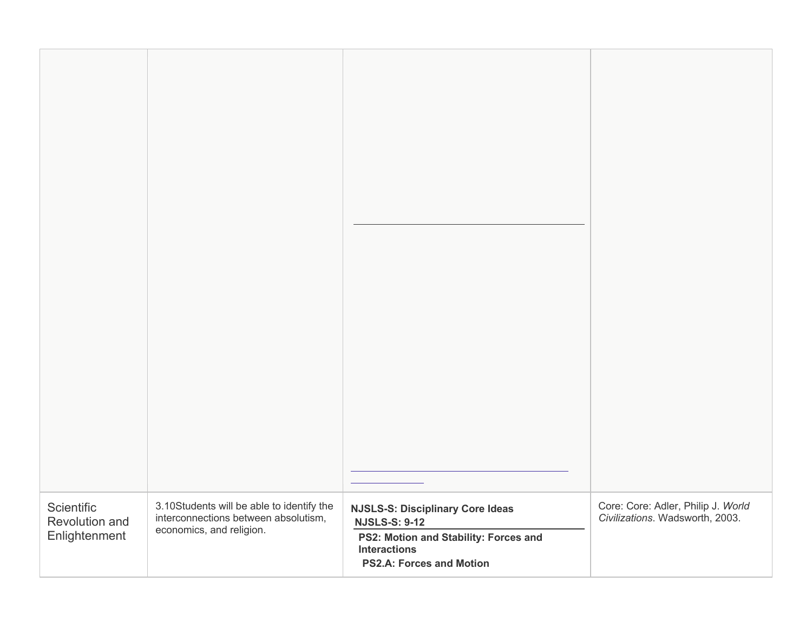| Scientific<br>Revolution and<br>Enlightenment | 3.10Students will be able to identify the<br>interconnections between absolutism,<br>economics, and religion. | <b>NJSLS-S: Disciplinary Core Ideas</b><br><b>NJSLS-S: 9-12</b><br>PS2: Motion and Stability: Forces and<br><b>Interactions</b><br><b>PS2.A: Forces and Motion</b> | Core: Core: Adler, Philip J. World<br>Civilizations. Wadsworth, 2003. |
|-----------------------------------------------|---------------------------------------------------------------------------------------------------------------|--------------------------------------------------------------------------------------------------------------------------------------------------------------------|-----------------------------------------------------------------------|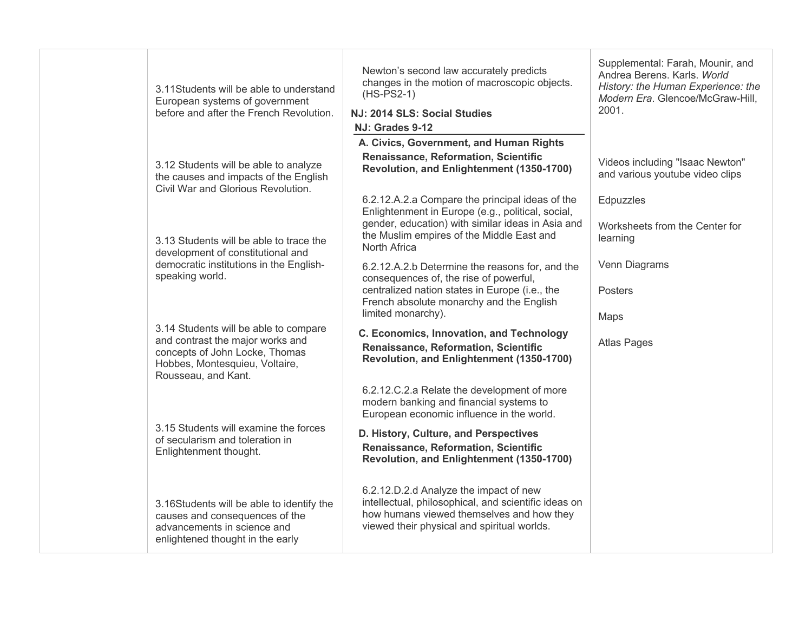|  | 3.11Students will be able to understand<br>European systems of government<br>before and after the French Revolution.                                                 | Newton's second law accurately predicts<br>changes in the motion of macroscopic objects.<br>$(HS-PS2-1)$<br>NJ: 2014 SLS: Social Studies<br>NJ: Grades 9-12                                                            | Supplemental: Farah, Mounir, and<br>Andrea Berens, Karls, World<br>History: the Human Experience: the<br>Modern Era. Glencoe/McGraw-Hill,<br>2001. |
|--|----------------------------------------------------------------------------------------------------------------------------------------------------------------------|------------------------------------------------------------------------------------------------------------------------------------------------------------------------------------------------------------------------|----------------------------------------------------------------------------------------------------------------------------------------------------|
|  | 3.12 Students will be able to analyze<br>the causes and impacts of the English<br>Civil War and Glorious Revolution.                                                 | A. Civics, Government, and Human Rights<br>Renaissance, Reformation, Scientific<br>Revolution, and Enlightenment (1350-1700)                                                                                           | Videos including "Isaac Newton"<br>and various youtube video clips                                                                                 |
|  | 3.13 Students will be able to trace the<br>development of constitutional and                                                                                         | 6.2.12.A.2.a Compare the principal ideas of the<br>Enlightenment in Europe (e.g., political, social,<br>gender, education) with similar ideas in Asia and<br>the Muslim empires of the Middle East and<br>North Africa | Edpuzzles<br>Worksheets from the Center for<br>learning                                                                                            |
|  | democratic institutions in the English-<br>speaking world.                                                                                                           | 6.2.12.A.2.b Determine the reasons for, and the<br>consequences of, the rise of powerful,<br>centralized nation states in Europe (i.e., the<br>French absolute monarchy and the English<br>limited monarchy).          | Venn Diagrams<br><b>Posters</b><br>Maps                                                                                                            |
|  | 3.14 Students will be able to compare<br>and contrast the major works and<br>concepts of John Locke, Thomas<br>Hobbes, Montesquieu, Voltaire,<br>Rousseau, and Kant. | C. Economics, Innovation, and Technology<br>Renaissance, Reformation, Scientific<br>Revolution, and Enlightenment (1350-1700)                                                                                          | <b>Atlas Pages</b>                                                                                                                                 |
|  |                                                                                                                                                                      | 6.2.12.C.2.a Relate the development of more<br>modern banking and financial systems to<br>European economic influence in the world.                                                                                    |                                                                                                                                                    |
|  | 3.15 Students will examine the forces<br>of secularism and toleration in<br>Enlightenment thought.                                                                   | D. History, Culture, and Perspectives<br>Renaissance, Reformation, Scientific<br>Revolution, and Enlightenment (1350-1700)                                                                                             |                                                                                                                                                    |
|  | 3.16Students will be able to identify the<br>causes and consequences of the<br>advancements in science and<br>enlightened thought in the early                       | 6.2.12.D.2.d Analyze the impact of new<br>intellectual, philosophical, and scientific ideas on<br>how humans viewed themselves and how they<br>viewed their physical and spiritual worlds.                             |                                                                                                                                                    |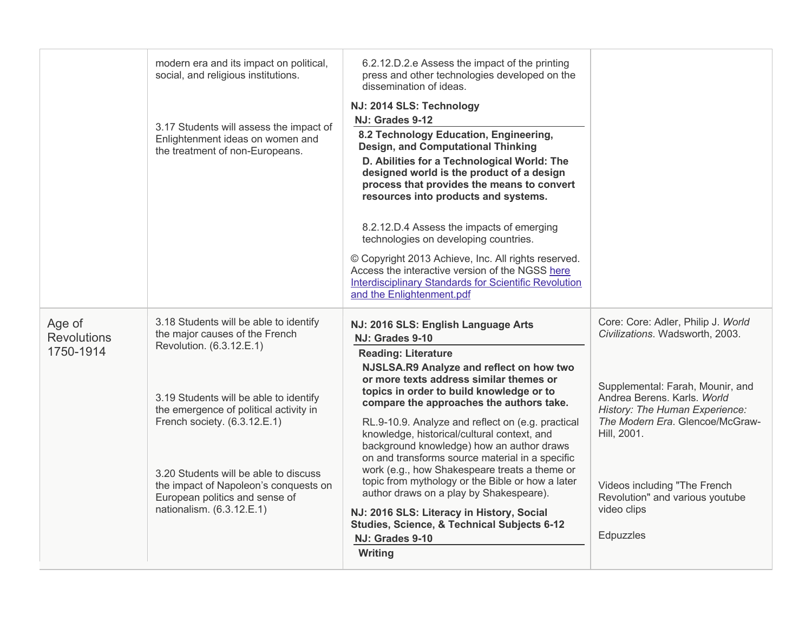|                                           | modern era and its impact on political,<br>social, and religious institutions.<br>3.17 Students will assess the impact of<br>Enlightenment ideas on women and<br>the treatment of non-Europeans.                                                                                                                                                                          | 6.2.12.D.2.e Assess the impact of the printing<br>press and other technologies developed on the<br>dissemination of ideas.<br>NJ: 2014 SLS: Technology<br>NJ: Grades 9-12<br>8.2 Technology Education, Engineering,<br><b>Design, and Computational Thinking</b><br>D. Abilities for a Technological World: The<br>designed world is the product of a design<br>process that provides the means to convert<br>resources into products and systems.<br>8.2.12.D.4 Assess the impacts of emerging<br>technologies on developing countries.<br>© Copyright 2013 Achieve, Inc. All rights reserved.<br>Access the interactive version of the NGSS here<br><b>Interdisciplinary Standards for Scientific Revolution</b><br>and the Enlightenment.pdf   |                                                                                                                                                                                                                                                                                                                             |
|-------------------------------------------|---------------------------------------------------------------------------------------------------------------------------------------------------------------------------------------------------------------------------------------------------------------------------------------------------------------------------------------------------------------------------|---------------------------------------------------------------------------------------------------------------------------------------------------------------------------------------------------------------------------------------------------------------------------------------------------------------------------------------------------------------------------------------------------------------------------------------------------------------------------------------------------------------------------------------------------------------------------------------------------------------------------------------------------------------------------------------------------------------------------------------------------|-----------------------------------------------------------------------------------------------------------------------------------------------------------------------------------------------------------------------------------------------------------------------------------------------------------------------------|
| Age of<br><b>Revolutions</b><br>1750-1914 | 3.18 Students will be able to identify<br>the major causes of the French<br>Revolution. (6.3.12.E.1)<br>3.19 Students will be able to identify<br>the emergence of political activity in<br>French society. (6.3.12.E.1)<br>3.20 Students will be able to discuss<br>the impact of Napoleon's conquests on<br>European politics and sense of<br>nationalism. (6.3.12.E.1) | NJ: 2016 SLS: English Language Arts<br>NJ: Grades 9-10<br><b>Reading: Literature</b><br>NJSLSA.R9 Analyze and reflect on how two<br>or more texts address similar themes or<br>topics in order to build knowledge or to<br>compare the approaches the authors take.<br>RL.9-10.9. Analyze and reflect on (e.g. practical<br>knowledge, historical/cultural context, and<br>background knowledge) how an author draws<br>on and transforms source material in a specific<br>work (e.g., how Shakespeare treats a theme or<br>topic from mythology or the Bible or how a later<br>author draws on a play by Shakespeare).<br>NJ: 2016 SLS: Literacy in History, Social<br>Studies, Science, & Technical Subjects 6-12<br>NJ: Grades 9-10<br>Writing | Core: Core: Adler, Philip J. World<br>Civilizations. Wadsworth, 2003.<br>Supplemental: Farah, Mounir, and<br>Andrea Berens. Karls. World<br>History: The Human Experience:<br>The Modern Era. Glencoe/McGraw-<br>Hill, 2001.<br>Videos including "The French<br>Revolution" and various youtube<br>video clips<br>Edpuzzles |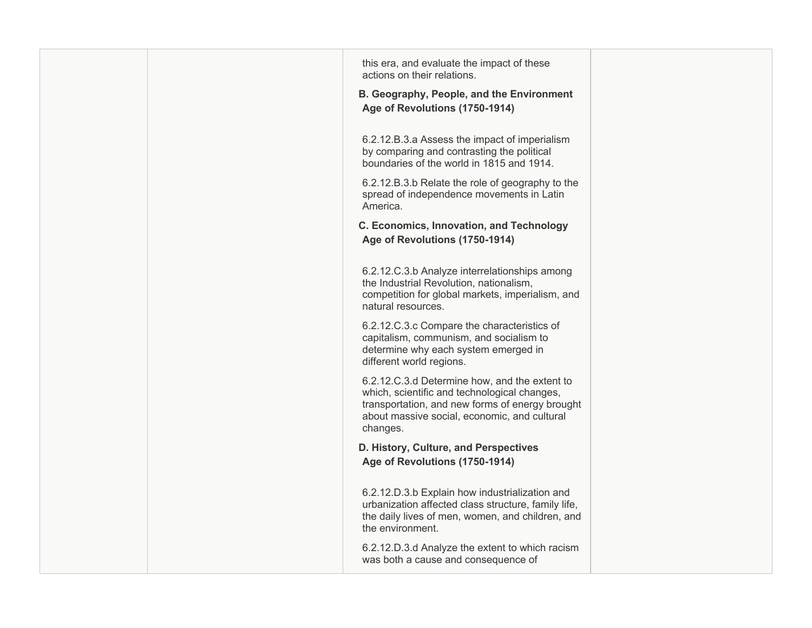| this era, and evaluate the impact of these<br>actions on their relations.                                                                                                                                    |  |
|--------------------------------------------------------------------------------------------------------------------------------------------------------------------------------------------------------------|--|
| B. Geography, People, and the Environment<br>Age of Revolutions (1750-1914)                                                                                                                                  |  |
| 6.2.12.B.3.a Assess the impact of imperialism<br>by comparing and contrasting the political<br>boundaries of the world in 1815 and 1914.                                                                     |  |
| 6.2.12.B.3.b Relate the role of geography to the<br>spread of independence movements in Latin<br>America.                                                                                                    |  |
| C. Economics, Innovation, and Technology<br>Age of Revolutions (1750-1914)                                                                                                                                   |  |
| 6.2.12.C.3.b Analyze interrelationships among<br>the Industrial Revolution, nationalism,<br>competition for global markets, imperialism, and<br>natural resources.                                           |  |
| 6.2.12.C.3.c Compare the characteristics of<br>capitalism, communism, and socialism to<br>determine why each system emerged in<br>different world regions.                                                   |  |
| 6.2.12.C.3.d Determine how, and the extent to<br>which, scientific and technological changes,<br>transportation, and new forms of energy brought<br>about massive social, economic, and cultural<br>changes. |  |
| D. History, Culture, and Perspectives<br>Age of Revolutions (1750-1914)                                                                                                                                      |  |
| 6.2.12.D.3.b Explain how industrialization and<br>urbanization affected class structure, family life,<br>the daily lives of men, women, and children, and<br>the environment.                                |  |
| 6.2.12.D.3.d Analyze the extent to which racism<br>was both a cause and consequence of                                                                                                                       |  |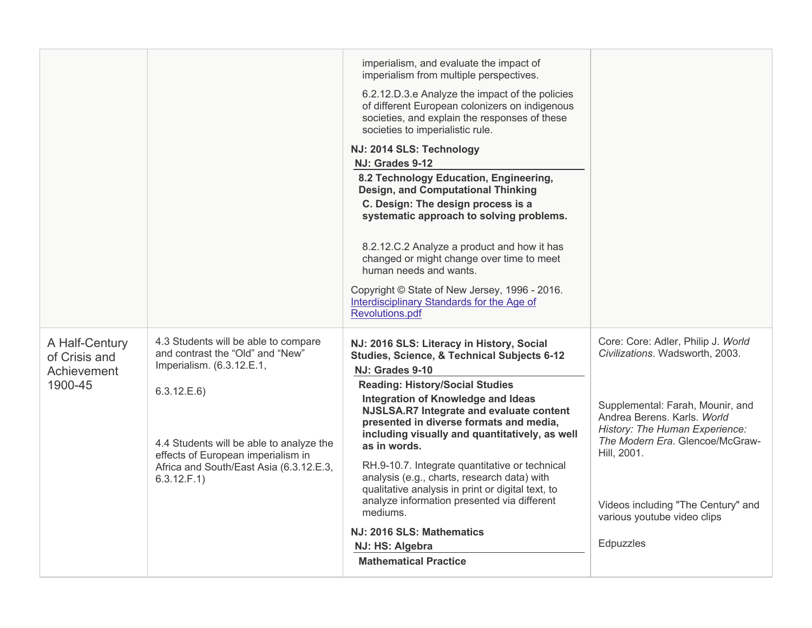|                                                           |                                                                                                                                                                                                                                                                 | imperialism, and evaluate the impact of<br>imperialism from multiple perspectives.<br>6.2.12.D.3.e Analyze the impact of the policies<br>of different European colonizers on indigenous<br>societies, and explain the responses of these<br>societies to imperialistic rule.<br>NJ: 2014 SLS: Technology<br>NJ: Grades 9-12<br>8.2 Technology Education, Engineering,<br><b>Design, and Computational Thinking</b><br>C. Design: The design process is a<br>systematic approach to solving problems.<br>8.2.12.C.2 Analyze a product and how it has<br>changed or might change over time to meet<br>human needs and wants.<br>Copyright © State of New Jersey, 1996 - 2016.<br>Interdisciplinary Standards for the Age of<br>Revolutions.pdf |                                                                                                                                                                                                                                                                                                                |
|-----------------------------------------------------------|-----------------------------------------------------------------------------------------------------------------------------------------------------------------------------------------------------------------------------------------------------------------|----------------------------------------------------------------------------------------------------------------------------------------------------------------------------------------------------------------------------------------------------------------------------------------------------------------------------------------------------------------------------------------------------------------------------------------------------------------------------------------------------------------------------------------------------------------------------------------------------------------------------------------------------------------------------------------------------------------------------------------------|----------------------------------------------------------------------------------------------------------------------------------------------------------------------------------------------------------------------------------------------------------------------------------------------------------------|
| A Half-Century<br>of Crisis and<br>Achievement<br>1900-45 | 4.3 Students will be able to compare<br>and contrast the "Old" and "New"<br>Imperialism. (6.3.12.E.1,<br>6.3.12.E.6<br>4.4 Students will be able to analyze the<br>effects of European imperialism in<br>Africa and South/East Asia (6.3.12.E.3,<br>6.3.12.F.1) | NJ: 2016 SLS: Literacy in History, Social<br>Studies, Science, & Technical Subjects 6-12<br>NJ: Grades 9-10<br><b>Reading: History/Social Studies</b><br>Integration of Knowledge and Ideas<br>NJSLSA.R7 Integrate and evaluate content<br>presented in diverse formats and media,<br>including visually and quantitatively, as well<br>as in words.<br>RH.9-10.7. Integrate quantitative or technical<br>analysis (e.g., charts, research data) with<br>qualitative analysis in print or digital text, to<br>analyze information presented via different<br>mediums.<br>NJ: 2016 SLS: Mathematics<br>NJ: HS: Algebra<br><b>Mathematical Practice</b>                                                                                        | Core: Core: Adler, Philip J. World<br>Civilizations. Wadsworth, 2003.<br>Supplemental: Farah, Mounir, and<br>Andrea Berens. Karls. World<br>History: The Human Experience:<br>The Modern Era. Glencoe/McGraw-<br>Hill, 2001.<br>Videos including "The Century" and<br>various youtube video clips<br>Edpuzzles |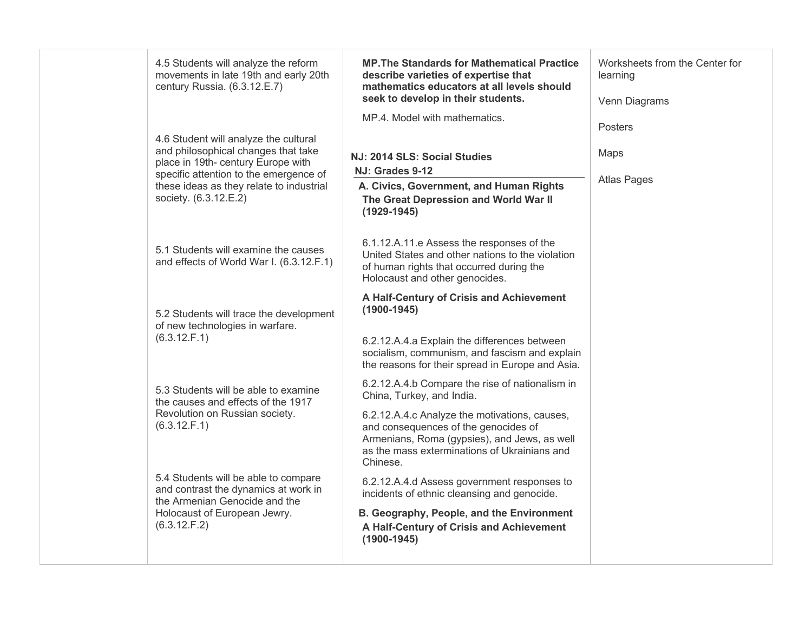| 4.5 Students will analyze the reform<br>movements in late 19th and early 20th<br>century Russia. (6.3.12.E.7)                                                                                                                     | <b>MP. The Standards for Mathematical Practice</b><br>describe varieties of expertise that<br>mathematics educators at all levels should<br>seek to develop in their students.                                                                                                    | Worksheets from the Center for<br>learning<br>Venn Diagrams |
|-----------------------------------------------------------------------------------------------------------------------------------------------------------------------------------------------------------------------------------|-----------------------------------------------------------------------------------------------------------------------------------------------------------------------------------------------------------------------------------------------------------------------------------|-------------------------------------------------------------|
| 4.6 Student will analyze the cultural<br>and philosophical changes that take<br>place in 19th- century Europe with<br>specific attention to the emergence of<br>these ideas as they relate to industrial<br>society. (6.3.12.E.2) | MP.4. Model with mathematics.<br>NJ: 2014 SLS: Social Studies<br>NJ: Grades 9-12<br>A. Civics, Government, and Human Rights<br>The Great Depression and World War II<br>$(1929 - 1945)$                                                                                           | <b>Posters</b><br>Maps<br><b>Atlas Pages</b>                |
| 5.1 Students will examine the causes<br>and effects of World War I. (6.3.12.F.1)                                                                                                                                                  | 6.1.12.A.11.e Assess the responses of the<br>United States and other nations to the violation<br>of human rights that occurred during the<br>Holocaust and other genocides.                                                                                                       |                                                             |
| 5.2 Students will trace the development<br>of new technologies in warfare.<br>(6.3.12.F.1)                                                                                                                                        | A Half-Century of Crisis and Achievement<br>$(1900-1945)$<br>6.2.12.A.4.a Explain the differences between<br>socialism, communism, and fascism and explain<br>the reasons for their spread in Europe and Asia.                                                                    |                                                             |
| 5.3 Students will be able to examine<br>the causes and effects of the 1917<br>Revolution on Russian society.<br>(6.3.12.F.1)                                                                                                      | 6.2.12.A.4.b Compare the rise of nationalism in<br>China, Turkey, and India.<br>6.2.12.A.4.c Analyze the motivations, causes,<br>and consequences of the genocides of<br>Armenians, Roma (gypsies), and Jews, as well<br>as the mass exterminations of Ukrainians and<br>Chinese. |                                                             |
| 5.4 Students will be able to compare<br>and contrast the dynamics at work in<br>the Armenian Genocide and the<br>Holocaust of European Jewry.<br>(6.3.12.F.2)                                                                     | 6.2.12.A.4.d Assess government responses to<br>incidents of ethnic cleansing and genocide.<br>B. Geography, People, and the Environment<br>A Half-Century of Crisis and Achievement<br>$(1900 - 1945)$                                                                            |                                                             |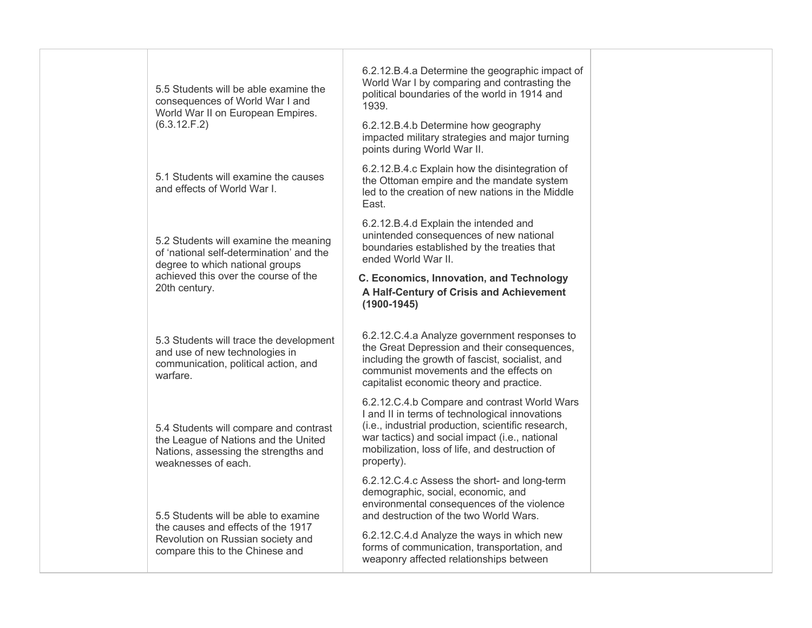| 5.5 Students will be able examine the<br>consequences of World War I and<br>World War II on European Empires.<br>(6.3.12.F.2)                                                 | 6.2.12.B.4.a Determine the geographic impact of<br>World War I by comparing and contrasting the<br>political boundaries of the world in 1914 and<br>1939.<br>6.2.12.B.4.b Determine how geography<br>impacted military strategies and major turning<br>points during World War II. |                                                                                        |
|-------------------------------------------------------------------------------------------------------------------------------------------------------------------------------|------------------------------------------------------------------------------------------------------------------------------------------------------------------------------------------------------------------------------------------------------------------------------------|----------------------------------------------------------------------------------------|
| 5.1 Students will examine the causes<br>and effects of World War I.                                                                                                           | 6.2.12.B.4.c Explain how the disintegration of<br>the Ottoman empire and the mandate system<br>led to the creation of new nations in the Middle<br>East.                                                                                                                           |                                                                                        |
| 5.2 Students will examine the meaning<br>of 'national self-determination' and the<br>degree to which national groups<br>achieved this over the course of the<br>20th century. | 6.2.12.B.4.d Explain the intended and<br>unintended consequences of new national<br>boundaries established by the treaties that<br>ended World War II.<br>C. Economics, Innovation, and Technology<br>A Half-Century of Crisis and Achievement<br>$(1900-1945)$                    |                                                                                        |
| 5.3 Students will trace the development<br>and use of new technologies in<br>communication, political action, and<br>warfare.                                                 | 6.2.12.C.4.a Analyze government responses to<br>the Great Depression and their consequences,<br>including the growth of fascist, socialist, and<br>communist movements and the effects on<br>capitalist economic theory and practice.                                              |                                                                                        |
| 5.4 Students will compare and contrast<br>the League of Nations and the United<br>Nations, assessing the strengths and<br>weaknesses of each.                                 | 6.2.12.C.4.b Compare and contrast World Wars<br>I and II in terms of technological innovations<br>(i.e., industrial production, scientific research,<br>war tactics) and social impact (i.e., national<br>mobilization, loss of life, and destruction of<br>property).             |                                                                                        |
| 5.5 Students will be able to examine<br>the causes and effects of the 1917<br>Revolution on Russian society and                                                               | 6.2.12.C.4.c Assess the short- and long-term<br>demographic, social, economic, and<br>environmental consequences of the violence<br>and destruction of the two World Wars.<br>6.2.12.C.4.d Analyze the ways in which new                                                           |                                                                                        |
|                                                                                                                                                                               | compare this to the Chinese and                                                                                                                                                                                                                                                    | forms of communication, transportation, and<br>weaponry affected relationships between |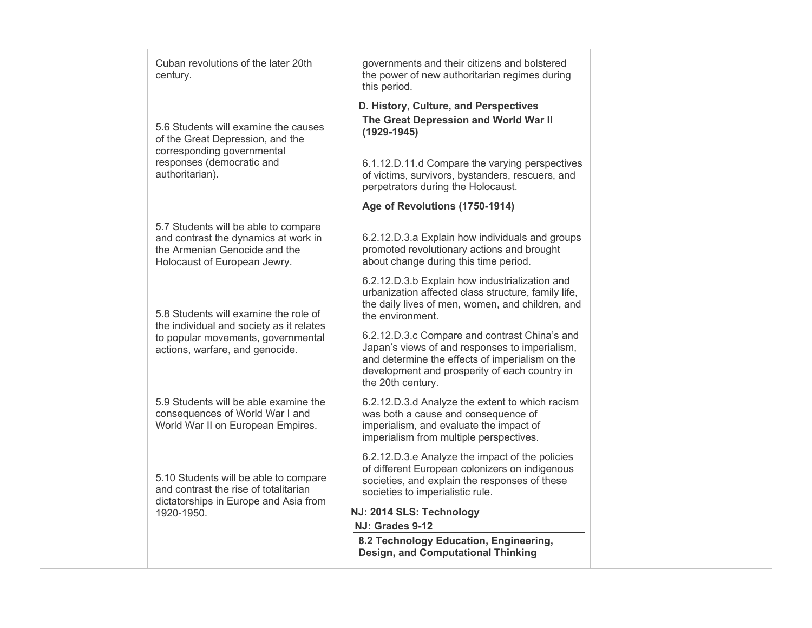| Cuban revolutions of the later 20th                                                                                                           | governments and their citizens and bolstered                                                                                                                                                                             |  |
|-----------------------------------------------------------------------------------------------------------------------------------------------|--------------------------------------------------------------------------------------------------------------------------------------------------------------------------------------------------------------------------|--|
| century.                                                                                                                                      | the power of new authoritarian regimes during<br>this period.                                                                                                                                                            |  |
| 5.6 Students will examine the causes<br>of the Great Depression, and the<br>corresponding governmental                                        | D. History, Culture, and Perspectives<br>The Great Depression and World War II<br>$(1929 - 1945)$                                                                                                                        |  |
| responses (democratic and<br>authoritarian).                                                                                                  | 6.1.12.D.11.d Compare the varying perspectives<br>of victims, survivors, bystanders, rescuers, and<br>perpetrators during the Holocaust.                                                                                 |  |
|                                                                                                                                               | Age of Revolutions (1750-1914)                                                                                                                                                                                           |  |
| 5.7 Students will be able to compare<br>and contrast the dynamics at work in<br>the Armenian Genocide and the<br>Holocaust of European Jewry. | 6.2.12.D.3.a Explain how individuals and groups<br>promoted revolutionary actions and brought<br>about change during this time period.                                                                                   |  |
| 5.8 Students will examine the role of                                                                                                         | 6.2.12.D.3.b Explain how industrialization and<br>urbanization affected class structure, family life,<br>the daily lives of men, women, and children, and<br>the environment.                                            |  |
| the individual and society as it relates<br>to popular movements, governmental<br>actions, warfare, and genocide.                             | 6.2.12.D.3.c Compare and contrast China's and<br>Japan's views of and responses to imperialism,<br>and determine the effects of imperialism on the<br>development and prosperity of each country in<br>the 20th century. |  |
| 5.9 Students will be able examine the<br>consequences of World War I and<br>World War II on European Empires.                                 | 6.2.12.D.3.d Analyze the extent to which racism<br>was both a cause and consequence of<br>imperialism, and evaluate the impact of<br>imperialism from multiple perspectives.                                             |  |
| 5.10 Students will be able to compare<br>and contrast the rise of totalitarian<br>dictatorships in Europe and Asia from                       | 6.2.12.D.3.e Analyze the impact of the policies<br>of different European colonizers on indigenous<br>societies, and explain the responses of these<br>societies to imperialistic rule.                                   |  |
| 1920-1950.                                                                                                                                    | NJ: 2014 SLS: Technology<br>NJ: Grades 9-12                                                                                                                                                                              |  |
|                                                                                                                                               | 8.2 Technology Education, Engineering,<br><b>Design, and Computational Thinking</b>                                                                                                                                      |  |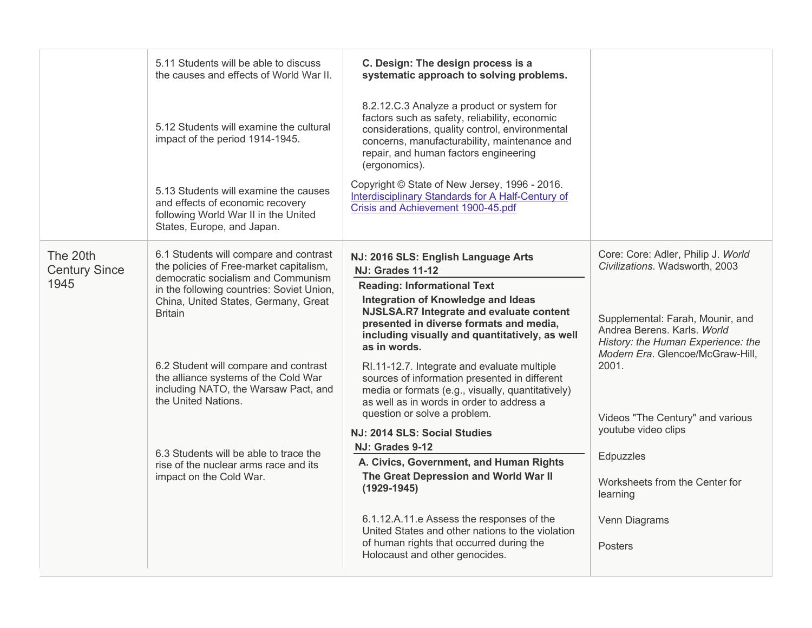|                                  | 5.11 Students will be able to discuss<br>the causes and effects of World War II.                                                                | C. Design: The design process is a<br>systematic approach to solving problems.                                                                                                                                                                          |                                                                                                                                                                                                                                                                          |
|----------------------------------|-------------------------------------------------------------------------------------------------------------------------------------------------|---------------------------------------------------------------------------------------------------------------------------------------------------------------------------------------------------------------------------------------------------------|--------------------------------------------------------------------------------------------------------------------------------------------------------------------------------------------------------------------------------------------------------------------------|
|                                  | 5.12 Students will examine the cultural<br>impact of the period 1914-1945.                                                                      | 8.2.12.C.3 Analyze a product or system for<br>factors such as safety, reliability, economic<br>considerations, quality control, environmental<br>concerns, manufacturability, maintenance and<br>repair, and human factors engineering<br>(ergonomics). |                                                                                                                                                                                                                                                                          |
|                                  | 5.13 Students will examine the causes<br>and effects of economic recovery<br>following World War II in the United<br>States, Europe, and Japan. | Copyright © State of New Jersey, 1996 - 2016.<br>Interdisciplinary Standards for A Half-Century of<br>Crisis and Achievement 1900-45.pdf                                                                                                                |                                                                                                                                                                                                                                                                          |
| The 20th<br><b>Century Since</b> | 6.1 Students will compare and contrast<br>the policies of Free-market capitalism,<br>democratic socialism and Communism                         | NJ: 2016 SLS: English Language Arts<br><b>NJ: Grades 11-12</b>                                                                                                                                                                                          | Core: Core: Adler, Philip J. World<br>Civilizations. Wadsworth, 2003                                                                                                                                                                                                     |
| 1945                             | in the following countries: Soviet Union,<br>China, United States, Germany, Great<br><b>Britain</b>                                             | <b>Reading: Informational Text</b><br>Integration of Knowledge and Ideas<br>NJSLSA.R7 Integrate and evaluate content<br>presented in diverse formats and media,<br>including visually and quantitatively, as well<br>as in words.                       | Supplemental: Farah, Mounir, and<br>Andrea Berens, Karls, World<br>History: the Human Experience: the<br>Modern Era. Glencoe/McGraw-Hill,<br>2001.<br>Videos "The Century" and various<br>youtube video clips<br>Edpuzzles<br>Worksheets from the Center for<br>learning |
|                                  | 6.2 Student will compare and contrast<br>the alliance systems of the Cold War<br>including NATO, the Warsaw Pact, and<br>the United Nations.    | RI.11-12.7. Integrate and evaluate multiple<br>sources of information presented in different<br>media or formats (e.g., visually, quantitatively)<br>as well as in words in order to address a<br>question or solve a problem.                          |                                                                                                                                                                                                                                                                          |
|                                  |                                                                                                                                                 | NJ: 2014 SLS: Social Studies                                                                                                                                                                                                                            |                                                                                                                                                                                                                                                                          |
|                                  | 6.3 Students will be able to trace the                                                                                                          | NJ: Grades 9-12                                                                                                                                                                                                                                         |                                                                                                                                                                                                                                                                          |
|                                  | rise of the nuclear arms race and its<br>impact on the Cold War.                                                                                | A. Civics, Government, and Human Rights<br>The Great Depression and World War II<br>$(1929 - 1945)$                                                                                                                                                     |                                                                                                                                                                                                                                                                          |
|                                  |                                                                                                                                                 | 6.1.12.A.11.e Assess the responses of the<br>United States and other nations to the violation<br>of human rights that occurred during the<br>Holocaust and other genocides.                                                                             | Venn Diagrams<br><b>Posters</b>                                                                                                                                                                                                                                          |